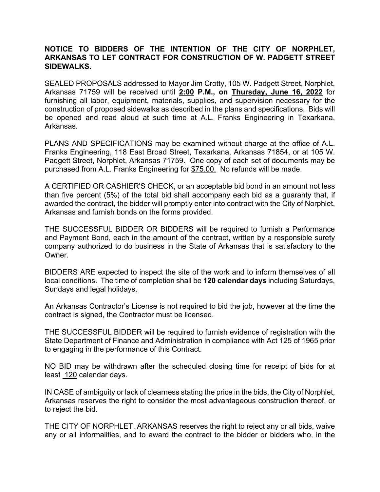## **NOTICE TO BIDDERS OF THE INTENTION OF THE CITY OF NORPHLET, ARKANSAS TO LET CONTRACT FOR CONSTRUCTION OF W. PADGETT STREET SIDEWALKS.**

SEALED PROPOSALS addressed to Mayor Jim Crotty, 105 W. Padgett Street, Norphlet, Arkansas 71759 will be received until **2:00 P.M., on Thursday, June 16, 2022** for furnishing all labor, equipment, materials, supplies, and supervision necessary for the construction of proposed sidewalks as described in the plans and specifications. Bids will be opened and read aloud at such time at A.L. Franks Engineering in Texarkana, Arkansas.

PLANS AND SPECIFICATIONS may be examined without charge at the office of A.L. Franks Engineering, 118 East Broad Street, Texarkana, Arkansas 71854, or at 105 W. Padgett Street, Norphlet, Arkansas 71759. One copy of each set of documents may be purchased from A.L. Franks Engineering for \$75.00. No refunds will be made.

A CERTIFIED OR CASHIER'S CHECK, or an acceptable bid bond in an amount not less than five percent (5%) of the total bid shall accompany each bid as a guaranty that, if awarded the contract, the bidder will promptly enter into contract with the City of Norphlet, Arkansas and furnish bonds on the forms provided.

THE SUCCESSFUL BIDDER OR BIDDERS will be required to furnish a Performance and Payment Bond, each in the amount of the contract, written by a responsible surety company authorized to do business in the State of Arkansas that is satisfactory to the Owner.

BIDDERS ARE expected to inspect the site of the work and to inform themselves of all local conditions. The time of completion shall be **120 calendar days** including Saturdays, Sundays and legal holidays.

An Arkansas Contractor's License is not required to bid the job, however at the time the contract is signed, the Contractor must be licensed.

THE SUCCESSFUL BIDDER will be required to furnish evidence of registration with the State Department of Finance and Administration in compliance with Act 125 of 1965 prior to engaging in the performance of this Contract.

NO BID may be withdrawn after the scheduled closing time for receipt of bids for at least 120 calendar days.

IN CASE of ambiguity or lack of clearness stating the price in the bids, the City of Norphlet, Arkansas reserves the right to consider the most advantageous construction thereof, or to reject the bid.

THE CITY OF NORPHLET, ARKANSAS reserves the right to reject any or all bids, waive any or all informalities, and to award the contract to the bidder or bidders who, in the